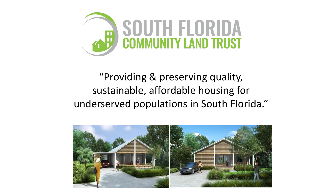

## "Providing & preserving quality, sustainable, affordable housing for underserved populations in South Florida."

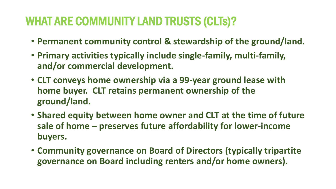## WHAT ARE COMMUNITY LAND TRUSTS (CLTs)?

- **Permanent community control & stewardship of the ground/land.**
- **Primary activities typically include single-family, multi-family, and/or commercial development.**
- **CLT conveys home ownership via a 99-year ground lease with home buyer. CLT retains permanent ownership of the ground/land.**
- **Shared equity between home owner and CLT at the time of future sale of home – preserves future affordability for lower-income buyers.**
- **Community governance on Board of Directors (typically tripartite governance on Board including renters and/or home owners).**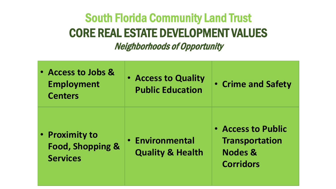## South Florida Community Land Trust CORE REAL ESTATE DEVELOPMENT VALUES

Neighborhoods of Opportunity

| • Access to Jobs &<br><b>Employment</b><br><b>Centers</b>        | • Access to Quality<br><b>Public Education</b>        | • Crime and Safety                                                                    |
|------------------------------------------------------------------|-------------------------------------------------------|---------------------------------------------------------------------------------------|
| • Proximity to<br><b>Food, Shopping &amp;</b><br><b>Services</b> | <b>• Environmental</b><br><b>Quality &amp; Health</b> | • Access to Public<br><b>Transportation</b><br><b>Nodes &amp;</b><br><b>Corridors</b> |